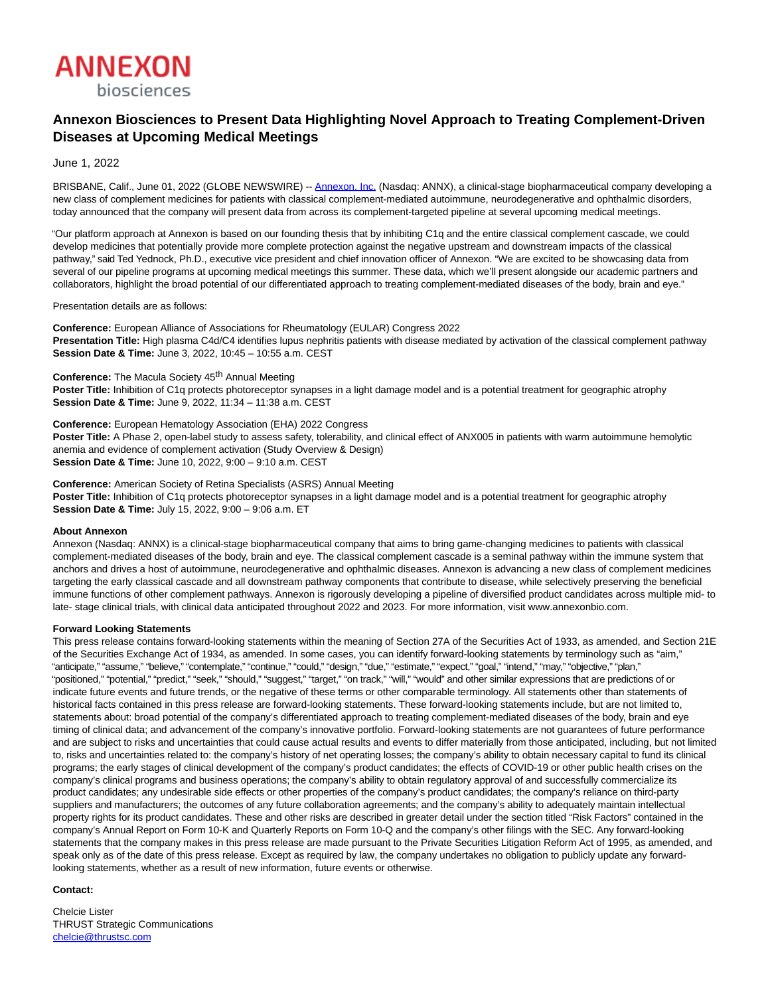

## **Annexon Biosciences to Present Data Highlighting Novel Approach to Treating Complement-Driven Diseases at Upcoming Medical Meetings**

June 1, 2022

BRISBANE, Calif., June 01, 2022 (GLOBE NEWSWIRE) -- [Annexon, Inc. \(](https://www.globenewswire.com/Tracker?data=FL68mzkXn1KN-3SKYtrAK1OAoDEJJc2gVb5h5bed5f-Vwu3zTsYv8O-8tT5EVxySbLG1CQEVTwG-NfNEDXs00w==)Nasdaq: ANNX), a clinical-stage biopharmaceutical company developing a new class of complement medicines for patients with classical complement-mediated autoimmune, neurodegenerative and ophthalmic disorders, today announced that the company will present data from across its complement-targeted pipeline at several upcoming medical meetings.

"Our platform approach at Annexon is based on our founding thesis that by inhibiting C1q and the entire classical complement cascade, we could develop medicines that potentially provide more complete protection against the negative upstream and downstream impacts of the classical pathway," said Ted Yednock, Ph.D., executive vice president and chief innovation officer of Annexon. "We are excited to be showcasing data from several of our pipeline programs at upcoming medical meetings this summer. These data, which we'll present alongside our academic partners and collaborators, highlight the broad potential of our differentiated approach to treating complement-mediated diseases of the body, brain and eye."

Presentation details are as follows:

**Conference:** European Alliance of Associations for Rheumatology (EULAR) Congress 2022 **Presentation Title:** High plasma C4d/C4 identifies lupus nephritis patients with disease mediated by activation of the classical complement pathway **Session Date & Time:** June 3, 2022, 10:45 – 10:55 a.m. CEST

Conference: The Macula Society 45<sup>th</sup> Annual Meeting

**Poster Title:** Inhibition of C1q protects photoreceptor synapses in a light damage model and is a potential treatment for geographic atrophy **Session Date & Time:** June 9, 2022, 11:34 – 11:38 a.m. CEST

**Conference:** European Hematology Association (EHA) 2022 Congress Poster Title: A Phase 2, open-label study to assess safety, tolerability, and clinical effect of ANX005 in patients with warm autoimmune hemolytic anemia and evidence of complement activation (Study Overview & Design) **Session Date & Time:** June 10, 2022, 9:00 – 9:10 a.m. CEST

**Conference:** American Society of Retina Specialists (ASRS) Annual Meeting **Poster Title:** Inhibition of C1q protects photoreceptor synapses in a light damage model and is a potential treatment for geographic atrophy **Session Date & Time:** July 15, 2022, 9:00 – 9:06 a.m. ET

## **About Annexon**

Annexon (Nasdaq: ANNX) is a clinical-stage biopharmaceutical company that aims to bring game-changing medicines to patients with classical complement-mediated diseases of the body, brain and eye. The classical complement cascade is a seminal pathway within the immune system that anchors and drives a host of autoimmune, neurodegenerative and ophthalmic diseases. Annexon is advancing a new class of complement medicines targeting the early classical cascade and all downstream pathway components that contribute to disease, while selectively preserving the beneficial immune functions of other complement pathways. Annexon is rigorously developing a pipeline of diversified product candidates across multiple mid- to late- stage clinical trials, with clinical data anticipated throughout 2022 and 2023. For more information, visit www.annexonbio.com.

## **Forward Looking Statements**

This press release contains forward-looking statements within the meaning of Section 27A of the Securities Act of 1933, as amended, and Section 21E of the Securities Exchange Act of 1934, as amended. In some cases, you can identify forward-looking statements by terminology such as "aim," "anticipate," "assume," "believe," "contemplate," "continue," "could," "design," "due," "estimate," "expect," "goal," "intend," "may," "objective," "plan," "positioned," "potential," "predict," "seek," "should," "suggest," "target," "on track," "will," "would" and other similar expressions that are predictions of or indicate future events and future trends, or the negative of these terms or other comparable terminology. All statements other than statements of historical facts contained in this press release are forward-looking statements. These forward-looking statements include, but are not limited to, statements about: broad potential of the company's differentiated approach to treating complement-mediated diseases of the body, brain and eye timing of clinical data; and advancement of the company's innovative portfolio. Forward-looking statements are not guarantees of future performance and are subject to risks and uncertainties that could cause actual results and events to differ materially from those anticipated, including, but not limited to, risks and uncertainties related to: the company's history of net operating losses; the company's ability to obtain necessary capital to fund its clinical programs; the early stages of clinical development of the company's product candidates; the effects of COVID-19 or other public health crises on the company's clinical programs and business operations; the company's ability to obtain regulatory approval of and successfully commercialize its product candidates; any undesirable side effects or other properties of the company's product candidates; the company's reliance on third-party suppliers and manufacturers; the outcomes of any future collaboration agreements; and the company's ability to adequately maintain intellectual property rights for its product candidates. These and other risks are described in greater detail under the section titled "Risk Factors" contained in the company's Annual Report on Form 10-K and Quarterly Reports on Form 10-Q and the company's other filings with the SEC. Any forward-looking statements that the company makes in this press release are made pursuant to the Private Securities Litigation Reform Act of 1995, as amended, and speak only as of the date of this press release. Except as required by law, the company undertakes no obligation to publicly update any forwardlooking statements, whether as a result of new information, future events or otherwise.

## **Contact:**

Chelcie Lister THRUST Strategic Communications [chelcie@thrustsc.com](https://www.globenewswire.com/Tracker?data=5ihZqKfwJ7KBKS8fnlKxGcQtsg1YEGT1qIyhtdEJSzh7-k40z-3HQWTMQHwQQ2oJ2GIeIxENNYhAT4YQsL57sJp6_R10a9R8pNEltHMKO24=)